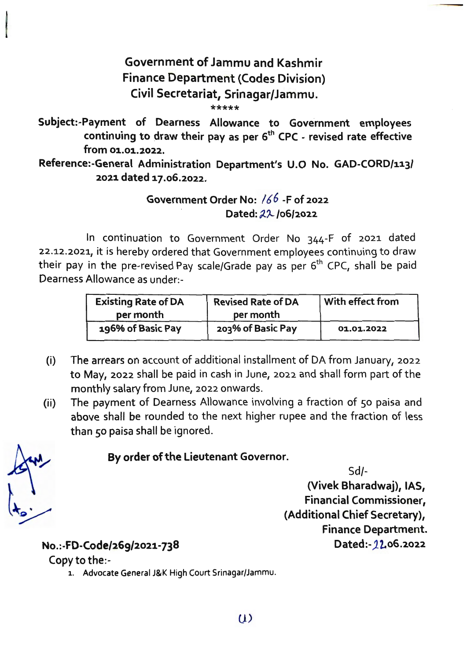## **Government of Jammu and Kashmir Finance Department (Codes Division) Civil Secretariat, Srinagar/Jammu.**

\*\*\*\*\*

Subject:-Payment of Dearness Allowance to Government employees continuing to draw their pay as per 6<sup>th</sup> CPC - revised rate effective **from 01.01.2022.** 

**Reference:-General Administration Department's U.O No. GAD-CORD/113/ 2021 dated 17.06.2022.** 

## **Government Order No:** / 6 6 **-F of 2022**  Dated: 22/06/2022

In continuation to Government Order No 344-F of 2021 dated 22.12.2021, it is hereby ordered that Government employees continuing to draw their pay in the pre-revised Pay scale/Grade pay as per  $6<sup>th</sup>$  CPC, shall be paid Dearness Allowance as under:-

| <b>Existing Rate of DA</b> | <b>Revised Rate of DA</b> | $\mid$ With effect from |
|----------------------------|---------------------------|-------------------------|
| per month                  | per month                 |                         |
| 196% of Basic Pay          | 203% of Basic Pay         | 01.01.2022              |

- (i) The arrears on account of additional installment of DA from January, 2022 to May, 2022 shall be paid in cash in June, 2022 and shall form part of the monthly salary from June, 2022 onwards.
- (ii) The payment of Dearness Allowance involving a fraction of 50 paisa and above shall be rounded to the next higher rupee and the fraction of less than 50 paisa shall be ignored.

**By order of the Lieutenant Governor.** 

Sd/-

**(Vivek Bharadwaj), IAS,**  Financial **Commissioner, (Additional Chief Secretary), Finance Department. Dated:-J L06.2022** 

**No.:·FD-Code/269/2021-738** 

Copy to the:-

1. Advocate General J&K High Court Srinagar/Jammu.